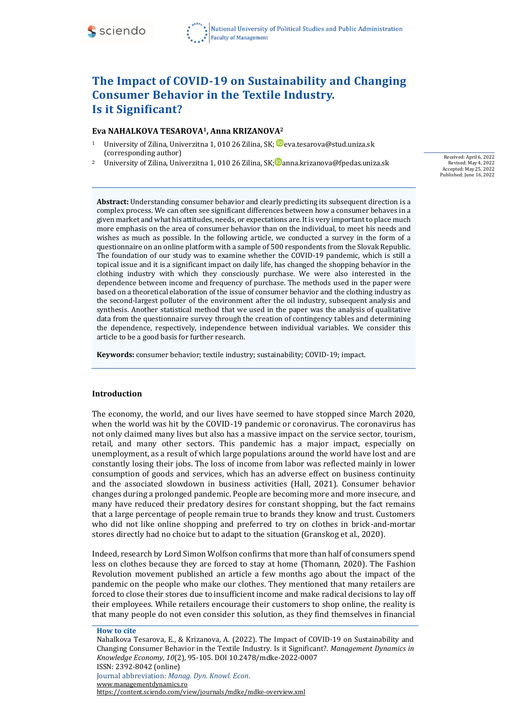

# **The Impact of COVID-19 on Sustainability and Changing Consumer Behavior in the Textile Industry. Is it Significant?**

#### **Eva NAHALKOVA TESAROVA1, Anna KRIZANOVA<sup>2</sup>**

- 1 University of Zilina, Univerzitna 1, 010 26 Zilina, SK;  $\blacksquare$  [eva.tesarova@stud.uniza.sk](mailto:eva.tesarova@stud.uniza.sk) (corresponding author)
- University of Zilina, Univerzitna 1, 010 26 Zilina, SK[;](https://orcid.org/0000-0003-0331-8826) anna.krizanova@fpedas.uniza.sk

Received: April 6, 2022 Revised: May 4, 2022 Accepted: May 25, 2022 Published: June 16, 2022

**Abstract:** Understanding consumer behavior and clearly predicting its subsequent direction is a complex process. We can often see significant differences between how a consumer behaves in a given market and what his attitudes, needs, or expectations are. It is very important to place much more emphasis on the area of consumer behavior than on the individual, to meet his needs and wishes as much as possible. In the following article, we conducted a survey in the form of a questionnaire on an online platform with a sample of 500 respondents from the Slovak Republic. The foundation of our study was to examine whether the COVID-19 pandemic, which is still a topical issue and it is a significant impact on daily life, has changed the shopping behavior in the clothing industry with which they consciously purchase. We were also interested in the dependence between income and frequency of purchase. The methods used in the paper were based on a theoretical elaboration of the issue of consumer behavior and the clothing industry as the second-largest polluter of the environment after the oil industry, subsequent analysis and synthesis. Another statistical method that we used in the paper was the analysis of qualitative data from the questionnaire survey through the creation of contingency tables and determining the dependence, respectively, independence between individual variables. We consider this article to be a good basis for further research.

**Keywords:** consumer behavior; textile industry; sustainability; COVID-19; impact.

#### **Introduction**

The economy, the world, and our lives have seemed to have stopped since March 2020, when the world was hit by the COVID-19 pandemic or coronavirus. The coronavirus has not only claimed many lives but also has a massive impact on the service sector, tourism, retail, and many other sectors. This pandemic has a major impact, especially on unemployment, as a result of which large populations around the world have lost and are constantly losing their jobs. The loss of income from labor was reflected mainly in lower consumption of goods and services, which has an adverse effect on business continuity and the associated slowdown in business activities (Hall, 2021). Consumer behavior changes during a prolonged pandemic. People are becoming more and more insecure, and many have reduced their predatory desires for constant shopping, but the fact remains that a large percentage of people remain true to brands they know and trust. Customers who did not like online shopping and preferred to try on clothes in brick-and-mortar stores directly had no choice but to adapt to the situation (Granskog et al., 2020).

Indeed, research by Lord Simon Wolfson confirms that more than half of consumers spend less on clothes because they are forced to stay at home (Thomann, 2020). The Fashion Revolution movement published an article a few months ago about the impact of the pandemic on the people who make our clothes. They mentioned that many retailers are forced to close their stores due to insufficient income and make radical decisions to lay off their employees. While retailers encourage their customers to shop online, the reality is that many people do not even consider this solution, as they find themselves in financial

**How to cite**

Nahalkova Tesarova, E., & Krizanova, A. (2022). The Impact of COVID-19 on Sustainability and Changing Consumer Behavior in the Textile Industry. Is it Significant?. *Management Dynamics in Knowledge Economy, 10*(2)*,* 95-105. DOI 10.2478/mdke-2022-0007 ISSN: 2392-8042 (online) Journal abbreviation: *Manag. Dyn. Knowl. Econ*. [www.managementdynamics.ro](http://www.managementdynamics.ro/) <https://content.sciendo.com/view/journals/mdke/mdke-overview.xml>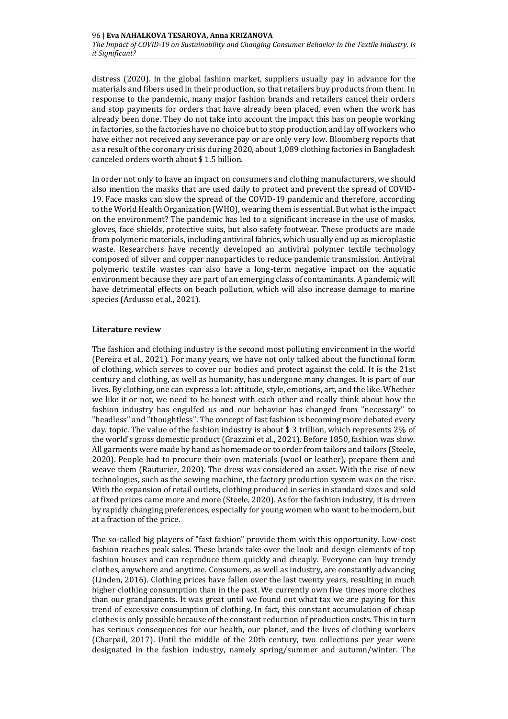distress (2020). In the global fashion market, suppliers usually pay in advance for the materials and fibers used in their production, so that retailers buy products from them. In response to the pandemic, many major fashion brands and retailers cancel their orders and stop payments for orders that have already been placed, even when the work has already been done. They do not take into account the impact this has on people working in factories, so the factories have no choice but to stop production and lay off workers who have either not received any severance pay or are only very low. Bloomberg reports that as a result of the coronary crisis during 2020, about 1,089 clothing factories in Bangladesh canceled orders worth about \$ 1.5 billion.

In order not only to have an impact on consumers and clothing manufacturers, we should also mention the masks that are used daily to protect and prevent the spread of COVID-19. Face masks can slow the spread of the COVID-19 pandemic and therefore, according to the World Health Organization (WHO), wearing them is essential. But what is the impact on the environment? The pandemic has led to a significant increase in the use of masks, gloves, face shields, protective suits, but also safety footwear. These products are made from polymeric materials, including antiviral fabrics, which usually end up as microplastic waste. Researchers have recently developed an antiviral polymer textile technology composed of silver and copper nanoparticles to reduce pandemic transmission. Antiviral polymeric textile wastes can also have a long-term negative impact on the aquatic environment because they are part of an emerging class of contaminants. A pandemic will have detrimental effects on beach pollution, which will also increase damage to marine species (Ardusso et al., 2021).

## **Literature review**

The fashion and clothing industry is the second most polluting environment in the world (Pereira et al., 2021). For many years, we have not only talked about the functional form of clothing, which serves to cover our bodies and protect against the cold. It is the 21st century and clothing, as well as humanity, has undergone many changes. It is part of our lives. By clothing, one can express a lot: attitude, style, emotions, art, and the like. Whether we like it or not, we need to be honest with each other and really think about how the fashion industry has engulfed us and our behavior has changed from "necessary" to "headless" and "thoughtless". The concept of fast fashion is becoming more debated every day. topic. The value of the fashion industry is about \$ 3 trillion, which represents 2% of the world's gross domestic product (Grazzini et al., 2021). Before 1850, fashion was slow. All garments were made by hand as homemade or to order from tailors and tailors (Steele, 2020). People had to procure their own materials (wool or leather), prepare them and weave them (Rauturier, 2020). The dress was considered an asset. With the rise of new technologies, such as the sewing machine, the factory production system was on the rise. With the expansion of retail outlets, clothing produced in series in standard sizes and sold at fixed prices came more and more (Steele, 2020). As for the fashion industry, it is driven by rapidly changing preferences, especially for young women who want to be modern, but at a fraction of the price.

The so-called big players of "fast fashion" provide them with this opportunity. Low-cost fashion reaches peak sales. These brands take over the look and design elements of top fashion houses and can reproduce them quickly and cheaply. Everyone can buy trendy clothes, anywhere and anytime. Consumers, as well as industry, are constantly advancing (Linden, 2016). Clothing prices have fallen over the last twenty years, resulting in much higher clothing consumption than in the past. We currently own five times more clothes than our grandparents. It was great until we found out what tax we are paying for this trend of excessive consumption of clothing. In fact, this constant accumulation of cheap clothes is only possible because of the constant reduction of production costs. This in turn has serious consequences for our health, our planet, and the lives of clothing workers (Charpail, 2017). Until the middle of the 20th century, two collections per year were designated in the fashion industry, namely spring/summer and autumn/winter. The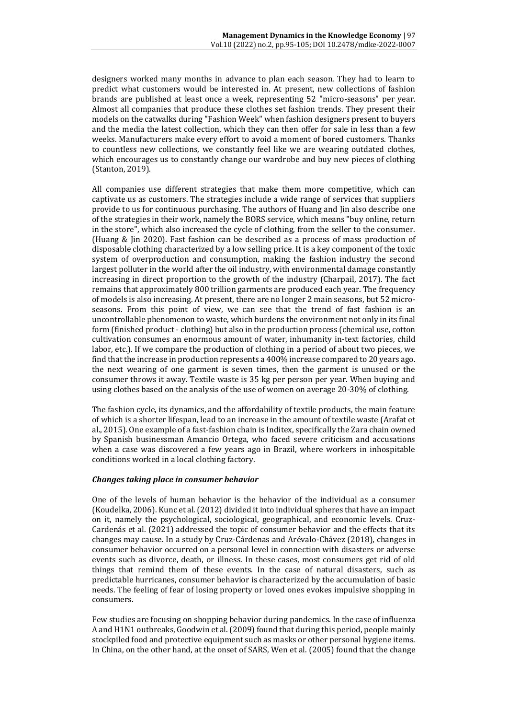designers worked many months in advance to plan each season. They had to learn to predict what customers would be interested in. At present, new collections of fashion brands are published at least once a week, representing 52 "micro-seasons" per year. Almost all companies that produce these clothes set fashion trends. They present their models on the catwalks during "Fashion Week" when fashion designers present to buyers and the media the latest collection, which they can then offer for sale in less than a few weeks. Manufacturers make every effort to avoid a moment of bored customers. Thanks to countless new collections, we constantly feel like we are wearing outdated clothes, which encourages us to constantly change our wardrobe and buy new pieces of clothing (Stanton, 2019).

All companies use different strategies that make them more competitive, which can captivate us as customers. The strategies include a wide range of services that suppliers provide to us for continuous purchasing. The authors of Huang and Jin also describe one of the strategies in their work, namely the BORS service, which means "buy online, return in the store", which also increased the cycle of clothing, from the seller to the consumer. (Huang & Jin 2020). Fast fashion can be described as a process of mass production of disposable clothing characterized by a low selling price. It is a key component of the toxic system of overproduction and consumption, making the fashion industry the second largest polluter in the world after the oil industry, with environmental damage constantly increasing in direct proportion to the growth of the industry (Charpail, 2017). The fact remains that approximately 800 trillion garments are produced each year. The frequency of models is also increasing. At present, there are no longer 2 main seasons, but 52 microseasons. From this point of view, we can see that the trend of fast fashion is an uncontrollable phenomenon to waste, which burdens the environment not only in its final form (finished product - clothing) but also in the production process (chemical use, cotton cultivation consumes an enormous amount of water, inhumanity in-text factories, child labor, etc.). If we compare the production of clothing in a period of about two pieces, we find that the increase in production represents a 400% increase compared to 20 years ago. the next wearing of one garment is seven times, then the garment is unused or the consumer throws it away. Textile waste is 35 kg per person per year. When buying and using clothes based on the analysis of the use of women on average 20-30% of clothing.

The fashion cycle, its dynamics, and the affordability of textile products, the main feature of which is a shorter lifespan, lead to an increase in the amount of textile waste (Arafat et al., 2015). One example of a fast-fashion chain is Inditex, specifically the Zara chain owned by Spanish businessman Amancio Ortega, who faced severe criticism and accusations when a case was discovered a few years ago in Brazil, where workers in inhospitable conditions worked in a local clothing factory.

# *Changes taking place in consumer behavior*

One of the levels of human behavior is the behavior of the individual as a consumer (Koudelka, 2006). Kunc et al. (2012) divided it into individual spheres that have an impact on it, namely the psychological, sociological, geographical, and economic levels. Cruz-Cardenás et al. (2021) addressed the topic of consumer behavior and the effects that its changes may cause. In a study by Cruz-Cárdenas and Arévalo-Chávez (2018), changes in consumer behavior occurred on a personal level in connection with disasters or adverse events such as divorce, death, or illness. In these cases, most consumers get rid of old things that remind them of these events. In the case of natural disasters, such as predictable hurricanes, consumer behavior is characterized by the accumulation of basic needs. The feeling of fear of losing property or loved ones evokes impulsive shopping in consumers.

Few studies are focusing on shopping behavior during pandemics. In the case of influenza A and H1N1 outbreaks, Goodwin et al. (2009) found that during this period, people mainly stockpiled food and protective equipment such as masks or other personal hygiene items. In China, on the other hand, at the onset of SARS, Wen et al. (2005) found that the change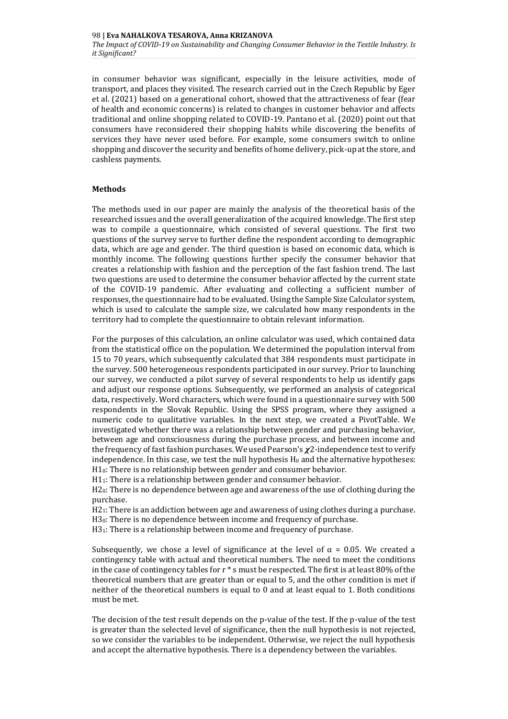in consumer behavior was significant, especially in the leisure activities, mode of transport, and places they visited. The research carried out in the Czech Republic by Eger et al. (2021) based on a generational cohort, showed that the attractiveness of fear (fear of health and economic concerns) is related to changes in customer behavior and affects traditional and online shopping related to COVID-19. Pantano et al. (2020) point out that consumers have reconsidered their shopping habits while discovering the benefits of services they have never used before. For example, some consumers switch to online shopping and discover the security and benefits of home delivery, pick-up at the store, and cashless payments.

# **Methods**

The methods used in our paper are mainly the analysis of the theoretical basis of the researched issues and the overall generalization of the acquired knowledge. The first step was to compile a questionnaire, which consisted of several questions. The first two questions of the survey serve to further define the respondent according to demographic data, which are age and gender. The third question is based on economic data, which is monthly income. The following questions further specify the consumer behavior that creates a relationship with fashion and the perception of the fast fashion trend. The last two questions are used to determine the consumer behavior affected by the current state of the COVID-19 pandemic. After evaluating and collecting a sufficient number of responses, the questionnaire had to be evaluated. Using the Sample Size Calculator system, which is used to calculate the sample size, we calculated how many respondents in the territory had to complete the questionnaire to obtain relevant information.

For the purposes of this calculation, an online calculator was used, which contained data from the statistical office on the population. We determined the population interval from 15 to 70 years, which subsequently calculated that 384 respondents must participate in the survey. 500 heterogeneous respondents participated in our survey. Prior to launching our survey, we conducted a pilot survey of several respondents to help us identify gaps and adjust our response options. Subsequently, we performed an analysis of categorical data, respectively. Word characters, which were found in a questionnaire survey with 500 respondents in the Slovak Republic. Using the SPSS program, where they assigned a numeric code to qualitative variables. In the next step, we created a PivotTable. We investigated whether there was a relationship between gender and purchasing behavior, between age and consciousness during the purchase process, and between income and the frequency of fast fashion purchases. We used Pearson's  $\chi$ 2-independence test to verify independence. In this case, we test the null hypothesis  $H_0$  and the alternative hypotheses: H<sub>10</sub>: There is no relationship between gender and consumer behavior.

H11: There is a relationship between gender and consumer behavior.

H20: There is no dependence between age and awareness of the use of clothing during the purchase.

H21: There is an addiction between age and awareness of using clothes during a purchase. H<sub>30</sub>: There is no dependence between income and frequency of purchase.

H31: There is a relationship between income and frequency of purchase.

Subsequently, we chose a level of significance at the level of  $\alpha = 0.05$ . We created a contingency table with actual and theoretical numbers. The need to meet the conditions in the case of contingency tables for r \* s must be respected. The first is at least 80% of the theoretical numbers that are greater than or equal to 5, and the other condition is met if neither of the theoretical numbers is equal to 0 and at least equal to 1. Both conditions must be met.

The decision of the test result depends on the p-value of the test. If the p-value of the test is greater than the selected level of significance, then the null hypothesis is not rejected, so we consider the variables to be independent. Otherwise, we reject the null hypothesis and accept the alternative hypothesis. There is a dependency between the variables.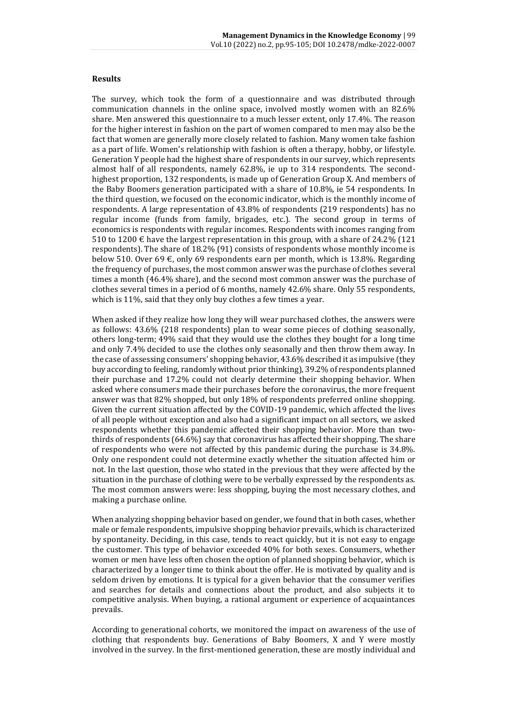## **Results**

The survey, which took the form of a questionnaire and was distributed through communication channels in the online space, involved mostly women with an 82.6% share. Men answered this questionnaire to a much lesser extent, only 17.4%. The reason for the higher interest in fashion on the part of women compared to men may also be the fact that women are generally more closely related to fashion. Many women take fashion as a part of life. Women's relationship with fashion is often a therapy, hobby, or lifestyle. Generation Y people had the highest share of respondents in our survey, which represents almost half of all respondents, namely 62.8%, ie up to 314 respondents. The secondhighest proportion, 132 respondents, is made up of Generation Group X. And members of the Baby Boomers generation participated with a share of 10.8%, ie 54 respondents. In the third question, we focused on the economic indicator, which is the monthly income of respondents. A large representation of 43.8% of respondents (219 respondents) has no regular income (funds from family, brigades, etc.). The second group in terms of economics is respondents with regular incomes. Respondents with incomes ranging from 510 to 1200  $\epsilon$  have the largest representation in this group, with a share of 24.2% (121 respondents). The share of 18.2% (91) consists of respondents whose monthly income is below 510. Over 69  $\epsilon$ , only 69 respondents earn per month, which is 13.8%. Regarding the frequency of purchases, the most common answer was the purchase of clothes several times a month (46.4% share), and the second most common answer was the purchase of clothes several times in a period of 6 months, namely 42.6% share. Only 55 respondents, which is 11%, said that they only buy clothes a few times a year.

When asked if they realize how long they will wear purchased clothes, the answers were as follows: 43.6% (218 respondents) plan to wear some pieces of clothing seasonally, others long-term; 49% said that they would use the clothes they bought for a long time and only 7.4% decided to use the clothes only seasonally and then throw them away. In the case of assessing consumers' shopping behavior, 43.6% described it as impulsive (they buy according to feeling, randomly without prior thinking), 39.2% of respondents planned their purchase and 17.2% could not clearly determine their shopping behavior. When asked where consumers made their purchases before the coronavirus, the more frequent answer was that 82% shopped, but only 18% of respondents preferred online shopping. Given the current situation affected by the COVID-19 pandemic, which affected the lives of all people without exception and also had a significant impact on all sectors, we asked respondents whether this pandemic affected their shopping behavior. More than twothirds of respondents (64.6%) say that coronavirus has affected their shopping. The share of respondents who were not affected by this pandemic during the purchase is 34.8%. Only one respondent could not determine exactly whether the situation affected him or not. In the last question, those who stated in the previous that they were affected by the situation in the purchase of clothing were to be verbally expressed by the respondents as. The most common answers were: less shopping, buying the most necessary clothes, and making a purchase online.

When analyzing shopping behavior based on gender, we found that in both cases, whether male or female respondents, impulsive shopping behavior prevails, which is characterized by spontaneity. Deciding, in this case, tends to react quickly, but it is not easy to engage the customer. This type of behavior exceeded 40% for both sexes. Consumers, whether women or men have less often chosen the option of planned shopping behavior, which is characterized by a longer time to think about the offer. He is motivated by quality and is seldom driven by emotions. It is typical for a given behavior that the consumer verifies and searches for details and connections about the product, and also subjects it to competitive analysis. When buying, a rational argument or experience of acquaintances prevails.

According to generational cohorts, we monitored the impact on awareness of the use of clothing that respondents buy. Generations of Baby Boomers, X and Y were mostly involved in the survey. In the first-mentioned generation, these are mostly individual and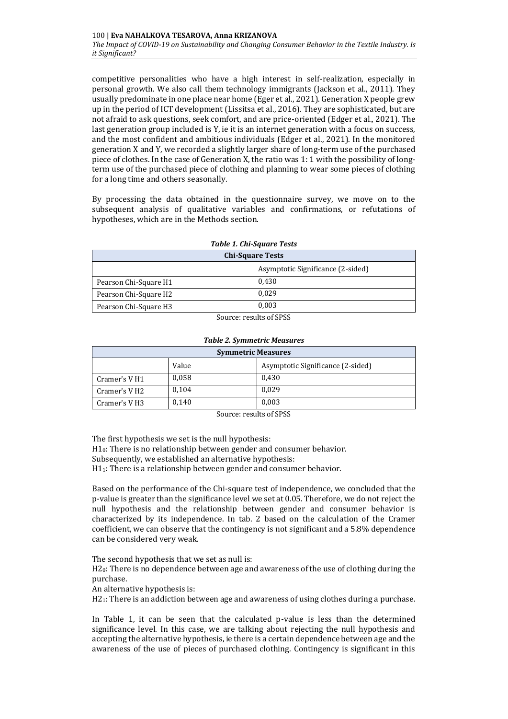competitive personalities who have a high interest in self-realization, especially in personal growth. We also call them technology immigrants (Jackson et al., 2011). They usually predominate in one place near home (Eger et al., 2021). Generation X people grew up in the period of ICT development (Lissitsa et al., 2016). They are sophisticated, but are not afraid to ask questions, seek comfort, and are price-oriented (Edger et al., 2021). The last generation group included is Y, ie it is an internet generation with a focus on success, and the most confident and ambitious individuals (Edger et al., 2021). In the monitored generation X and Y, we recorded a slightly larger share of long-term use of the purchased piece of clothes. In the case of Generation X, the ratio was 1: 1 with the possibility of longterm use of the purchased piece of clothing and planning to wear some pieces of clothing for a long time and others seasonally.

By processing the data obtained in the questionnaire survey, we move on to the subsequent analysis of qualitative variables and confirmations, or refutations of hypotheses, which are in the Methods section.

| Tuble 1. Chi-Square Tests       |                                   |  |
|---------------------------------|-----------------------------------|--|
| <b>Chi-Square Tests</b>         |                                   |  |
|                                 | Asymptotic Significance (2-sided) |  |
| Pearson Chi-Square H1           | 0.430                             |  |
| Pearson Chi-Square H2           | 0.029                             |  |
| Pearson Chi-Square H3           | 0.003                             |  |
| $C_1, \ldots, C_n, \ldots, C_n$ |                                   |  |

## *Table 1. Chi-Square Tests*

Source: results of SPSS

| <b>Symmetric Measures</b> |       |                                   |  |
|---------------------------|-------|-----------------------------------|--|
|                           | Value | Asymptotic Significance (2-sided) |  |
| Cramer's V <sub>H1</sub>  | 0,058 | 0,430                             |  |
| Cramer's V H2             | 0,104 | 0.029                             |  |
| Cramer's VH3              | 0.140 | 0,003                             |  |

#### *Table 2. Symmetric Measures*

Source: results of SPSS

The first hypothesis we set is the null hypothesis:

H10: There is no relationship between gender and consumer behavior.

Subsequently, we established an alternative hypothesis:

H11: There is a relationship between gender and consumer behavior.

Based on the performance of the Chi-square test of independence, we concluded that the p-value is greater than the significance level we set at 0.05. Therefore, we do not reject the null hypothesis and the relationship between gender and consumer behavior is characterized by its independence. In tab. 2 based on the calculation of the Cramer coefficient, we can observe that the contingency is not significant and a 5.8% dependence can be considered very weak.

The second hypothesis that we set as null is:

H20: There is no dependence between age and awareness of the use of clothing during the purchase.

An alternative hypothesis is:

H21: There is an addiction between age and awareness of using clothes during a purchase.

In Table 1, it can be seen that the calculated p-value is less than the determined significance level. In this case, we are talking about rejecting the null hypothesis and accepting the alternative hypothesis, ie there is a certain dependence between age and the awareness of the use of pieces of purchased clothing. Contingency is significant in this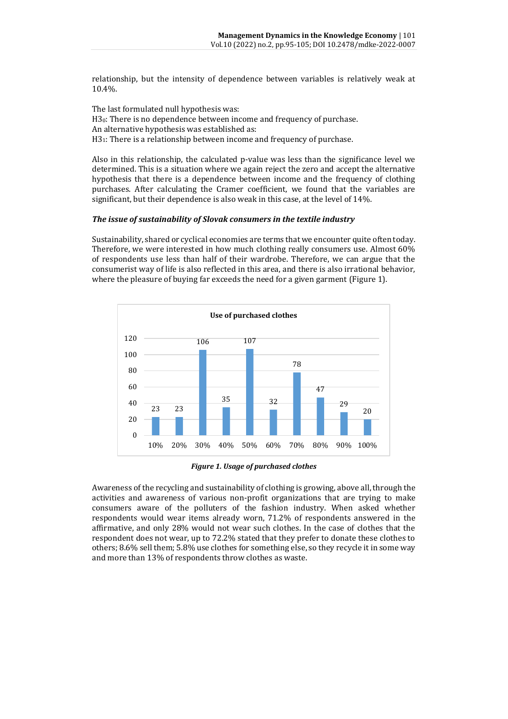relationship, but the intensity of dependence between variables is relatively weak at 10.4%.

The last formulated null hypothesis was: H<sub>30</sub>: There is no dependence between income and frequency of purchase. An alternative hypothesis was established as: H3<sub>1</sub>: There is a relationship between income and frequency of purchase.

Also in this relationship, the calculated p-value was less than the significance level we determined. This is a situation where we again reject the zero and accept the alternative hypothesis that there is a dependence between income and the frequency of clothing purchases. After calculating the Cramer coefficient, we found that the variables are significant, but their dependence is also weak in this case, at the level of 14%.

# *The issue of sustainability of Slovak consumers in the textile industry*

Sustainability, shared or cyclical economies are terms that we encounter quite often today. Therefore, we were interested in how much clothing really consumers use. Almost 60% of respondents use less than half of their wardrobe. Therefore, we can argue that the consumerist way of life is also reflected in this area, and there is also irrational behavior, where the pleasure of buying far exceeds the need for a given garment (Figure 1).



*Figure 1. Usage of purchased clothes*

Awareness of the recycling and sustainability of clothing is growing, above all, through the activities and awareness of various non-profit organizations that are trying to make consumers aware of the polluters of the fashion industry. When asked whether respondents would wear items already worn, 71.2% of respondents answered in the affirmative, and only 28% would not wear such clothes. In the case of clothes that the respondent does not wear, up to 72.2% stated that they prefer to donate these clothes to others; 8.6% sell them; 5.8% use clothes for something else, so they recycle it in some way and more than 13% of respondents throw clothes as waste.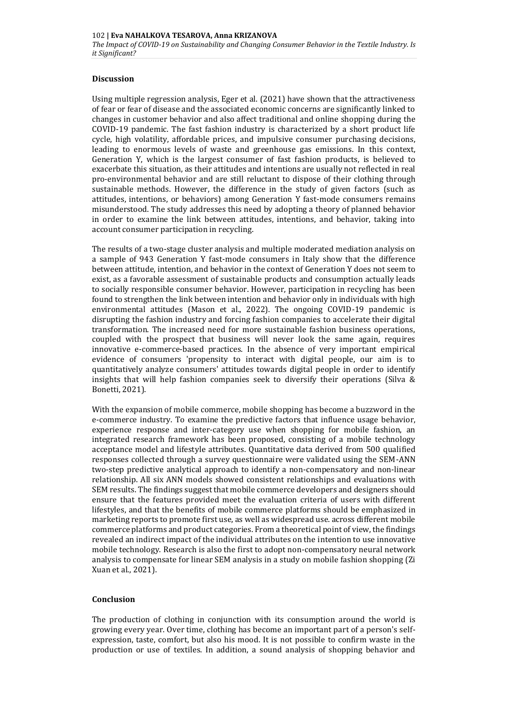## **Discussion**

Using multiple regression analysis, Eger et al. (2021) have shown that the attractiveness of fear or fear of disease and the associated economic concerns are significantly linked to changes in customer behavior and also affect traditional and online shopping during the COVID-19 pandemic. The fast fashion industry is characterized by a short product life cycle, high volatility, affordable prices, and impulsive consumer purchasing decisions, leading to enormous levels of waste and greenhouse gas emissions. In this context, Generation Y, which is the largest consumer of fast fashion products, is believed to exacerbate this situation, as their attitudes and intentions are usually not reflected in real pro-environmental behavior and are still reluctant to dispose of their clothing through sustainable methods. However, the difference in the study of given factors (such as attitudes, intentions, or behaviors) among Generation Y fast-mode consumers remains misunderstood. The study addresses this need by adopting a theory of planned behavior in order to examine the link between attitudes, intentions, and behavior, taking into account consumer participation in recycling.

The results of a two-stage cluster analysis and multiple moderated mediation analysis on a sample of 943 Generation Y fast-mode consumers in Italy show that the difference between attitude, intention, and behavior in the context of Generation Y does not seem to exist, as a favorable assessment of sustainable products and consumption actually leads to socially responsible consumer behavior. However, participation in recycling has been found to strengthen the link between intention and behavior only in individuals with high environmental attitudes (Mason et al., 2022). The ongoing COVID-19 pandemic is disrupting the fashion industry and forcing fashion companies to accelerate their digital transformation. The increased need for more sustainable fashion business operations, coupled with the prospect that business will never look the same again, requires innovative e-commerce-based practices. In the absence of very important empirical evidence of consumers 'propensity to interact with digital people, our aim is to quantitatively analyze consumers' attitudes towards digital people in order to identify insights that will help fashion companies seek to diversify their operations (Silva & Bonetti, 2021).

With the expansion of mobile commerce, mobile shopping has become a buzzword in the e-commerce industry. To examine the predictive factors that influence usage behavior, experience response and inter-category use when shopping for mobile fashion, an integrated research framework has been proposed, consisting of a mobile technology acceptance model and lifestyle attributes. Quantitative data derived from 500 qualified responses collected through a survey questionnaire were validated using the SEM-ANN two-step predictive analytical approach to identify a non-compensatory and non-linear relationship. All six ANN models showed consistent relationships and evaluations with SEM results. The findings suggest that mobile commerce developers and designers should ensure that the features provided meet the evaluation criteria of users with different lifestyles, and that the benefits of mobile commerce platforms should be emphasized in marketing reports to promote first use, as well as widespread use. across different mobile commerce platforms and product categories. From a theoretical point of view, the findings revealed an indirect impact of the individual attributes on the intention to use innovative mobile technology. Research is also the first to adopt non-compensatory neural network analysis to compensate for linear SEM analysis in a study on mobile fashion shopping (Zi Xuan et al., 2021).

## **Conclusion**

The production of clothing in conjunction with its consumption around the world is growing every year. Over time, clothing has become an important part of a person's selfexpression, taste, comfort, but also his mood. It is not possible to confirm waste in the production or use of textiles. In addition, a sound analysis of shopping behavior and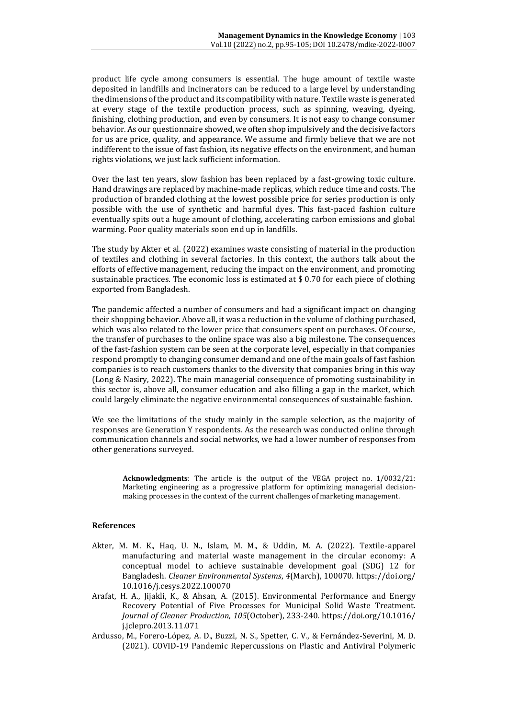product life cycle among consumers is essential. The huge amount of textile waste deposited in landfills and incinerators can be reduced to a large level by understanding the dimensions of the product and its compatibility with nature. Textile waste is generated at every stage of the textile production process, such as spinning, weaving, dyeing, finishing, clothing production, and even by consumers. It is not easy to change consumer behavior. As our questionnaire showed, we often shop impulsively and the decisive factors for us are price, quality, and appearance. We assume and firmly believe that we are not indifferent to the issue of fast fashion, its negative effects on the environment, and human rights violations, we just lack sufficient information.

Over the last ten years, slow fashion has been replaced by a fast-growing toxic culture. Hand drawings are replaced by machine-made replicas, which reduce time and costs. The production of branded clothing at the lowest possible price for series production is only possible with the use of synthetic and harmful dyes. This fast-paced fashion culture eventually spits out a huge amount of clothing, accelerating carbon emissions and global warming. Poor quality materials soon end up in landfills.

The study by Akter et al. (2022) examines waste consisting of material in the production of textiles and clothing in several factories. In this context, the authors talk about the efforts of effective management, reducing the impact on the environment, and promoting sustainable practices. The economic loss is estimated at \$ 0.70 for each piece of clothing exported from Bangladesh.

The pandemic affected a number of consumers and had a significant impact on changing their shopping behavior. Above all, it was a reduction in the volume of clothing purchased, which was also related to the lower price that consumers spent on purchases. Of course, the transfer of purchases to the online space was also a big milestone. The consequences of the fast-fashion system can be seen at the corporate level, especially in that companies respond promptly to changing consumer demand and one of the main goals of fast fashion companies is to reach customers thanks to the diversity that companies bring in this way (Long & Nasiry, 2022). The main managerial consequence of promoting sustainability in this sector is, above all, consumer education and also filling a gap in the market, which could largely eliminate the negative environmental consequences of sustainable fashion.

We see the limitations of the study mainly in the sample selection, as the majority of responses are Generation Y respondents. As the research was conducted online through communication channels and social networks, we had a lower number of responses from other generations surveyed.

**Acknowledgments**: The article is the output of the VEGA project no. 1/0032/21: Marketing engineering as a progressive platform for optimizing managerial decisionmaking processes in the context of the current challenges of marketing management.

#### **References**

- Akter, M. M. K., Haq, U. N., Islam, M. M., & Uddin, M. A. (2022). Textile-apparel manufacturing and material waste management in the circular economy: A conceptual model to achieve sustainable development goal (SDG) 12 for Bangladesh. *Cleaner Environmental Systems*, *4*(March), 100070. https://doi.org/ 10.1016/j.cesys.2022.100070
- Arafat, H. A., Jijakli, K., & Ahsan, A. (2015). Environmental Performance and Energy Recovery Potential of Five Processes for Municipal Solid Waste Treatment. *Journal of Cleaner Production*, *105*(October), 233-240. https://doi.org/10.1016/ j.jclepro.2013.11.071
- Ardusso, M., Forero-López, A. D., Buzzi, N. S., Spetter, C. V., & Fernández-Severini, M. D. (2021). COVID-19 Pandemic Repercussions on Plastic and Antiviral Polymeric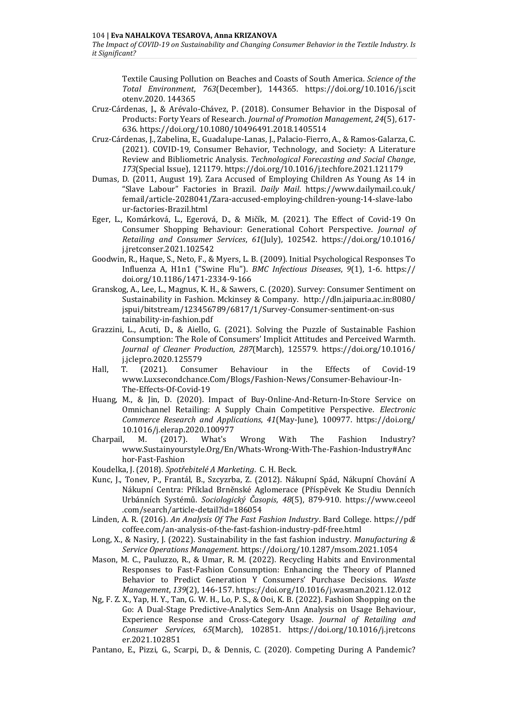*The Impact of COVID-19 on Sustainability and Changing Consumer Behavior in the Textile Industry. Is it Significant?*

Textile Causing Pollution on Beaches and Coasts of South America. *Science of the Total Environment*, *763*(December), 144365. https://doi.org/10.1016/j.scit otenv.2020. 144365

- Cruz-Cárdenas, J., & Arévalo-Chávez, P. (2018). Consumer Behavior in the Disposal of Products: Forty Years of Research. *Journal of Promotion Management*, *24*(5), 617- 636[. https://doi.org/10.1080/10496491.2018.1405514](https://doi.org/10.1080/10496491.2018.1405514)
- Cruz-Cárdenas, J., Zabelina, E., Guadalupe-Lanas, J., Palacio-Fierro, A., & Ramos-Galarza, C. (2021). COVID-19, Consumer Behavior, Technology, and Society: A Literature Review and Bibliometric Analysis. *Technological Forecasting and Social Change*, *173*(Special Issue), 121179[. https://doi.org/10.1016/j.techfore.2021.121179](https://doi.org/10.1016/j.techfore.2021.121179)
- Dumas, D. (2011, August 19). Zara Accused of Employing Children As Young As 14 in "Slave Labour" Factories in Brazil. *Daily Mail*. https://www.dailymail.co.uk/ femail/article-2028041/Zara-accused-employing-children-young-14-slave-labo ur-factories-Brazil.html
- Eger, L., Komárková, L., Egerová, D., & Mičík, M. (2021). The Effect of Covid-19 On Consumer Shopping Behaviour: Generational Cohort Perspective. *Journal of Retailing and Consumer Services*, *61*(July), 102542. [https://doi.org/10.1016/](https://doi.org/10.1016/j.jretconser.2021.102542) [j.jretconser.2021.102542](https://doi.org/10.1016/j.jretconser.2021.102542)
- Goodwin, R., Haque, S., Neto, F., & Myers, L. B. (2009). Initial Psychological Responses To Influenza A, H1n1 ("Swine Flu"). *BMC Infectious Diseases*, *9*(1), 1-6. [https://](https://doi.org/10.1186/1471-2334-9-166) [doi.org/10.1186/1471-2334-9-166](https://doi.org/10.1186/1471-2334-9-166)
- Granskog, A., Lee, L., Magnus, K. H., & Sawers, C. (2020). Survey: Consumer Sentiment on Sustainability in Fashion. Mckinsey & Company. [http://dln.jaipuria.ac.in:8080/](http://dln.jaipuria.ac.in:8080/jspui/bitstream/123456789/6817/1/Survey-Consumer-sentiment-on-sustainability-in-fashion.pdf) [jspui/bitstream/123456789/6817/1/Survey-Consumer-sentiment-on-sus](http://dln.jaipuria.ac.in:8080/jspui/bitstream/123456789/6817/1/Survey-Consumer-sentiment-on-sustainability-in-fashion.pdf) [tainability-in-fashion.pdf](http://dln.jaipuria.ac.in:8080/jspui/bitstream/123456789/6817/1/Survey-Consumer-sentiment-on-sustainability-in-fashion.pdf)
- Grazzini, L., Acuti, D., & Aiello, G. (2021). Solving the Puzzle of Sustainable Fashion Consumption: The Role of Consumers' Implicit Attitudes and Perceived Warmth. *Journal of Cleaner Production*, *287*(March), 125579. [https://doi.org/10.1016/](https://doi.org/10.1016/j.jclepro.2020.125579) [j.jclepro.2020.125579](https://doi.org/10.1016/j.jclepro.2020.125579)
- Hall, T. (2021). Consumer Behaviour in the Effects of Covid-19 [www.Luxsecondchance.Com/Blogs/Fashion-News/Consumer-Behaviour-In-](http://www.luxsecondchance.com/Blogs/Fashion-News/Consumer-Behaviour-In-The-Effects-Of-Covid-19)[The-Effects-Of-Covid-19](http://www.luxsecondchance.com/Blogs/Fashion-News/Consumer-Behaviour-In-The-Effects-Of-Covid-19)
- Huang, M., & Jin, D. (2020). Impact of Buy-Online-And-Return-In-Store Service on Omnichannel Retailing: A Supply Chain Competitive Perspective. *Electronic Commerce Research and Applications*, *41*(May-June), 100977. [https://doi.org/](https://doi.org/10.1016/j.elerap.2020.100977) [10.1016/j.elerap.2020.100977](https://doi.org/10.1016/j.elerap.2020.100977)
- Charpail, M. (2017). What's Wrong With The Fashion Industry? www.Sustainyourstyle.Org/En/Whats-Wrong-With-The-Fashion-Industry#Anc hor-Fast-Fashion
- Koudelka, J. (2018). *Spotřebitelé A Marketing*. C. H. Beck.
- Kunc, J., Tonev, P., Frantál, B., Szcyzrba, Z. (2012). Nákupní Spád, Nákupní Chování A Nákupní Centra: Příklad Brněnské Aglomerace (Příspěvek Ke Studiu Denních Urbánních Systémů. *Sociologický Časopis*, *48*(5), 879-910. [https://www.ceeol](https://www.ceeol.com/search/article-detail?id=186054) [.com/search/article-detail?id=186054](https://www.ceeol.com/search/article-detail?id=186054)
- Linden, A. R. (2016). *An Analysis Of The Fast Fashion Industry*. Bard College. [https://pdf](https://pdfcoffee.com/an-analysis-of-the-fast-fashion-industry-pdf-free.html) [coffee.com/an-analysis-of-the-fast-fashion-industry-pdf-free.html](https://pdfcoffee.com/an-analysis-of-the-fast-fashion-industry-pdf-free.html)
- Long, X., & Nasiry, J. (2022). Sustainability in the fast fashion industry. *Manufacturing & Service Operations Management*[. https://doi.org/10.1287/msom.2021.1054](https://doi.org/10.1287/msom.2021.1054)
- Mason, M. C., Pauluzzo, R., & Umar, R. M. (2022). Recycling Habits and Environmental Responses to Fast-Fashion Consumption: Enhancing the Theory of Planned Behavior to Predict Generation Y Consumers' Purchase Decisions. *Waste Management*, *139*(2), 146-157[. https://doi.org/10.1016/j.wasman.2021.12.012](https://doi.org/10.1016/j.wasman.2021.12.012)
- Ng, F. Z. X., Yap, H. Y., Tan, G. W. H., Lo, P. S., & Ooi, K. B. (2022). Fashion Shopping on the Go: A Dual-Stage Predictive-Analytics Sem-Ann Analysis on Usage Behaviour, Experience Response and Cross-Category Usage. *Journal of Retailing and Consumer Services*, *65*(March), 102851. [https://doi.org/10.1016/j.jretcons](https://doi.org/10.1016/j.jretconser.2021.102851) [er.2021.102851](https://doi.org/10.1016/j.jretconser.2021.102851)
- Pantano, E., Pizzi, G., Scarpi, D., & Dennis, C. (2020). Competing During A Pandemic?